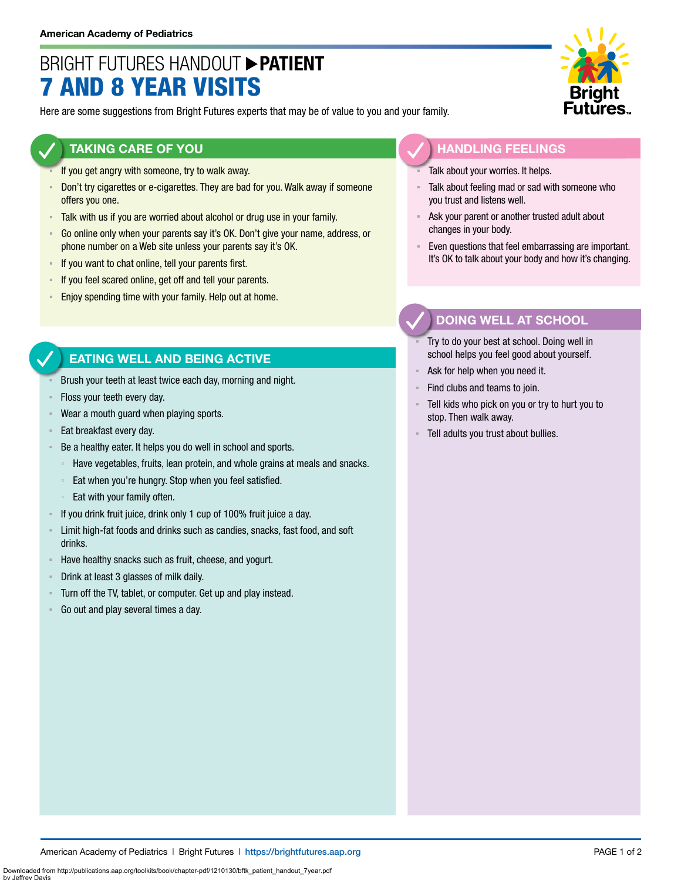## BRIGHT FUTURES HANDOUT **PATIENT** 7 AND 8 YEAR VISITS

Here are some suggestions from Bright Futures experts that may be of value to you and your family.

#### **TAKING CARE OF YOU**

- If you get angry with someone, try to walk away.
- **Don't try cigarettes or e-cigarettes. They are bad for you. Walk away if someone** offers you one.
- Talk with us if you are worried about alcohol or drug use in your family.
- Go online only when your parents say it's OK. Don't give your name, address, or phone number on a Web site unless your parents say it's OK.
- **EXECT** If you want to chat online, tell your parents first.
- If you feel scared online, get off and tell your parents.
- **Enjoy spending time with your family. Help out at home.**

#### **EATING WELL AND BEING ACTIVE**

- Brush your teeth at least twice each day, morning and night.
- Floss your teeth every day.
- Wear a mouth guard when playing sports.
- Eat breakfast every day.
- Be a healthy eater. It helps you do well in school and sports.
	- Have vegetables, fruits, lean protein, and whole grains at meals and snacks.
	- Eat when you're hungry. Stop when you feel satisfied.
	- Eat with your family often.
- If you drink fruit juice, drink only 1 cup of 100% fruit juice a day.
- **EXECT** Limit high-fat foods and drinks such as candies, snacks, fast food, and soft drinks.
- Have healthy snacks such as fruit, cheese, and yogurt.
- Drink at least 3 glasses of milk daily.
- Turn off the TV, tablet, or computer. Get up and play instead.
- Go out and play several times a day.



#### **HANDLING FEELINGS**

- Talk about your worries. It helps.
- Talk about feeling mad or sad with someone who you trust and listens well.
- Ask your parent or another trusted adult about changes in your body.
- Even questions that feel embarrassing are important. It's OK to talk about your body and how it's changing.

#### **DOING WELL AT SCHOOL**

- Try to do your best at school. Doing well in school helps you feel good about yourself.
- Ask for help when you need it.
- Find clubs and teams to join.
- Tell kids who pick on you or try to hurt you to stop. Then walk away.
- Tell adults you trust about bullies.

Downloaded from http://publications.aap.org/toolkits/book/chapter-pdf/1210130/bftk\_patient\_handout\_7year.pdf

by Jeffrey Davis